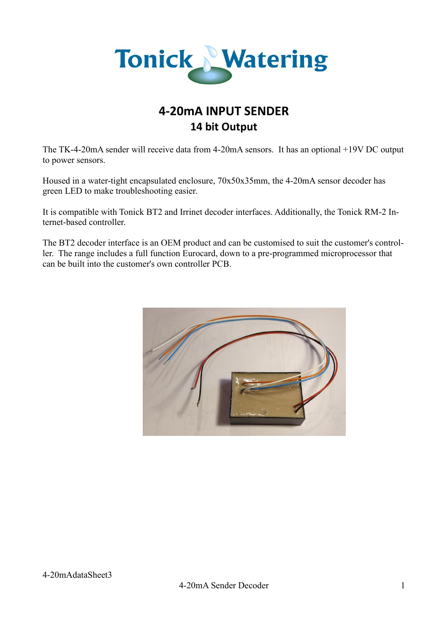

# **4-20mA INPUT SENDER 14 bit Output**

The TK-4-20mA sender will receive data from 4-20mA sensors. It has an optional +19V DC output to power sensors.

Housed in a water-tight encapsulated enclosure, 70x50x35mm, the 4-20mA sensor decoder has green LED to make troubleshooting easier.

It is compatible with Tonick BT2 and Irrinet decoder interfaces. Additionally, the Tonick RM-2 Internet-based controller.

The BT2 decoder interface is an OEM product and can be customised to suit the customer's controller. The range includes a full function Eurocard, down to a pre-programmed microprocessor that can be built into the customer's own controller PCB.

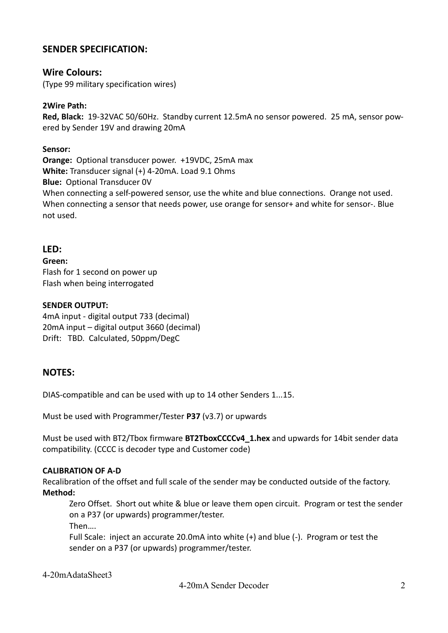# **SENDER SPECIFICATION:**

## **Wire Colours:**

(Type 99 military specification wires)

## **2Wire Path:**

**Red, Black:** 19-32VAC 50/60Hz. Standby current 12.5mA no sensor powered. 25 mA, sensor powered by Sender 19V and drawing 20mA

### **Sensor:**

**Orange:** Optional transducer power. +19VDC, 25mA max **White:** Transducer signal (+) 4-20mA. Load 9.1 Ohms **Blue:** Optional Transducer 0V When connecting a self-powered sensor, use the white and blue connections. Orange not used. When connecting a sensor that needs power, use orange for sensor+ and white for sensor-. Blue not used.

## **LED:**

**Green:** Flash for 1 second on power up Flash when being interrogated

### **SENDER OUTPUT:**

4mA input - digital output 733 (decimal) 20mA input – digital output 3660 (decimal) Drift: TBD. Calculated, 50ppm/DegC

# **NOTES:**

DIAS-compatible and can be used with up to 14 other Senders 1...15.

Must be used with Programmer/Tester **P37** (v3.7) or upwards

Must be used with BT2/Tbox firmware **BT2TboxCCCCv4\_1.hex** and upwards for 14bit sender data compatibility. (CCCC is decoder type and Customer code)

#### **CALIBRATION OF A-D**

Recalibration of the offset and full scale of the sender may be conducted outside of the factory. **Method:**

Zero Offset. Short out white & blue or leave them open circuit. Program or test the sender on a P37 (or upwards) programmer/tester.

Then….

Full Scale: inject an accurate 20.0mA into white (+) and blue (-). Program or test the sender on a P37 (or upwards) programmer/tester.

4-20mAdataSheet3